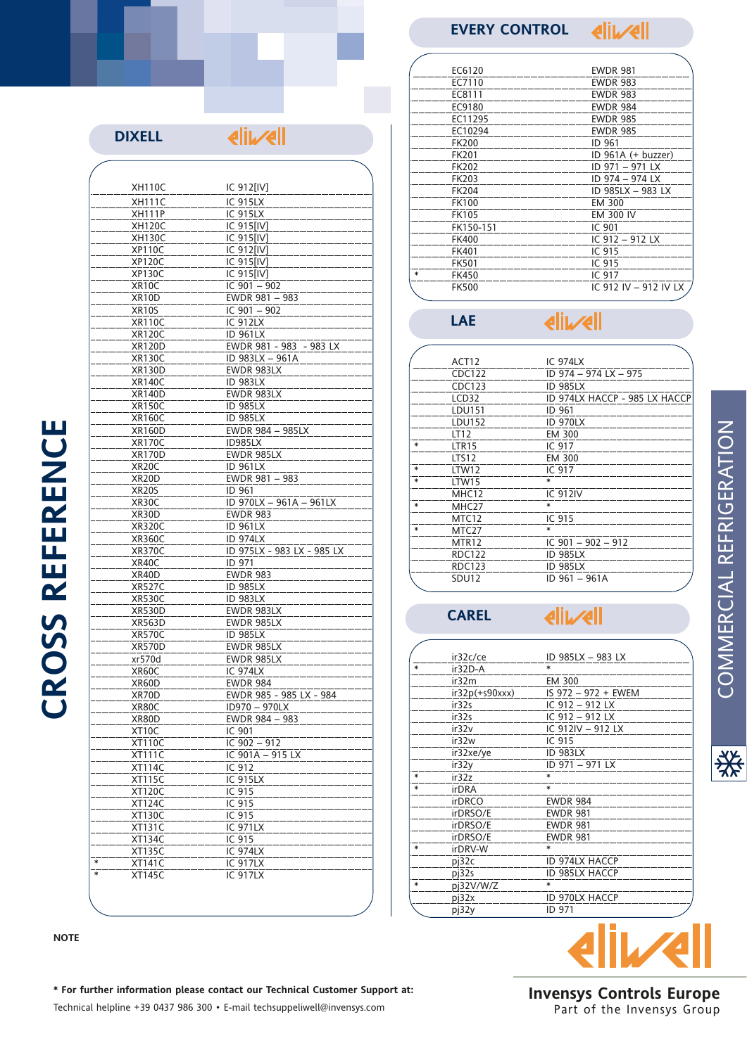## **EVERY CONTROL**

**eliwell** 

| <b>DIXELL</b>                  | <b>AIIVAII</b>                 |
|--------------------------------|--------------------------------|
|                                |                                |
| <b>XH110C</b>                  | IC 912[IV]                     |
| <b>XH111C</b>                  | IC 915LX                       |
| <b>XH111P</b>                  | <b>IC 915LX</b>                |
| <b>XH120C</b>                  | IC 915[IV]                     |
| <b>XH130C</b>                  | IC 915[IV]                     |
| <b>XP110C</b>                  | IC 912[IV]                     |
| <b>XP120C</b>                  | IC 915[IV]                     |
| <b>XP130C</b>                  | IC 915[IV]                     |
| XR10C                          | IC $901 - 902$                 |
| XR10D                          | EWDR 981 - 983                 |
| XR10S                          | IC $901 - 902$                 |
| <b>XR110C</b>                  | <b>IC 912LX</b>                |
| <b>XR120C</b>                  | <b>ID 961LX</b>                |
| <b>XR120D</b>                  | EWDR 981 - 983 - 983 LX        |
| <b>XR130C</b><br><b>XR130D</b> | ID 983LX - 961A<br>EWDR 983LX  |
| <b>XR140C</b>                  | <b>ID 983LX</b>                |
| <b>XR140D</b>                  | EWDR 983LX                     |
| <b>XR150C</b>                  | <b>ID 985LX</b>                |
| <b>XR160C</b>                  | <b>ID 985LX</b>                |
| <b>XR160D</b>                  | EWDR 984 - 985LX               |
| <b>XR170C</b>                  | ID985LX                        |
| <b>XR170D</b>                  | EWDR 985LX                     |
| XR20C                          | <b>ID 961LX</b>                |
| XR <sub>20</sub> D             | EWDR 981 - 983                 |
| XR20S                          | ID 961                         |
| XR30C                          | ID 970LX - 961A - 961LX        |
| XR30D                          | <b>EWDR 983</b>                |
| <b>XR320C</b>                  | <b>ID 961LX</b>                |
| <b>XR360C</b>                  | <b>ID 974LX</b>                |
| XR370C                         | ID 975LX - 983 LX - 985 LX     |
| XR40C                          | ID 971                         |
| XR40D                          | <b>EWDR 983</b>                |
| <b>XR527C</b>                  | <b>ID 985LX</b>                |
| <b>XR530C</b>                  | <b>ID 983LX</b>                |
| XR530D<br><b>XR563D</b>        | EWDR 983LX<br>EWDR 985LX       |
| <b>XR570C</b>                  | <b>ID 985LX</b>                |
| <b>XR570D</b>                  | EWDR 985LX                     |
| xr570d                         | EWDR 985LX                     |
| XR60C                          | <b>IC 974LX</b>                |
| XR60D                          | <b>EWDR 984</b>                |
| XR70D                          | <u>EWDR 985 - 985 LX - 984</u> |
| XR80C                          | ID970 - 970LX                  |
| XR80D                          | EWDR 984 - 983                 |
| XT10C                          | IC 901                         |
| <b>XT110C</b>                  | IC $902 - 912$                 |
| <b>XT111C</b>                  | IC 901A - 915 LX               |
| <b>XT114C</b>                  | IC 912                         |
| XT115C                         | <b>IC 915LX</b>                |
| <b>XT120C</b>                  | IC 915                         |
| <b>XT124C</b>                  | IC 915                         |
| <b>XT130C</b>                  | IC 915                         |
| <b>XT131C</b>                  | <b>IC 971LX</b>                |
| XT134C                         | IC 915                         |
| <b>XT135C</b><br>$\ast$        | <b>IC 974LX</b>                |
| <b>XT141C</b><br>$\ast$        | IC 917LX<br><b>IC 917LX</b>    |
| <b>XT145C</b>                  |                                |

| EC6120       | <b>EWDR 981</b>       |
|--------------|-----------------------|
| EC7110       | <b>EWDR 983</b>       |
| EC8111       | <b>EWDR 983</b>       |
| EC9180       | <b>EWDR 984</b>       |
| EC11295      | <b>EWDR 985</b>       |
| EC10294      | <b>EWDR 985</b>       |
| <b>FK200</b> | ID 961                |
| <b>FK201</b> | ID 961A (+ buzzer)    |
| <b>FK202</b> | ID 971 - 971 LX       |
| FK203        | ID 974 - 974 LX       |
| FK204        | ID 985LX - 983 LX     |
| <b>FK100</b> | EM 300                |
| <b>FK105</b> | <b>EM 300 IV</b>      |
| FK150-151    | IC 901                |
| <b>FK400</b> | IC 912 - 912 LX       |
| FK401        | IC 915                |
| <b>FK501</b> | IC 915                |
| <b>FK450</b> | IC 917                |
| <b>FK500</b> | IC 912 IV - 912 IV LX |
|              |                       |

### **eliwell LAE**

| ACT12             | <b>IC 974LX</b>               |
|-------------------|-------------------------------|
| CDC122            | ID 974 - 974 LX - 975         |
| CDC123            | <b>ID 985LX</b>               |
| LCD32             | ID 974LX HACCP - 985 LX HACCP |
| LDU151            | ID 961                        |
| LDU152            | <b>ID 970LX</b>               |
| LT12              | EM 300                        |
| LTR15             | IC 917                        |
| LTS <sub>12</sub> | EM 300                        |
| LTW12             | IC 917                        |
| LTW15             |                               |
| MHC12             | <b>IC 912IV</b>               |
| MHC27             | $\ast$                        |
| MTC <sub>12</sub> | IC 915                        |
| MTC27             | ж                             |
| MTR12             | IC $901 - 902 - 912$          |
| <b>RDC122</b>     | <b>ID 985LX</b>               |
| <b>RDC123</b>     | <b>ID 985LX</b>               |
| SDU12             | ID 961 - 961A                 |
|                   |                               |

**CAREL**

 $\left| \right|$ 

|   | ir32c/ce         | ID 985LX - 983 LX   |  |
|---|------------------|---------------------|--|
|   | ir32D-A          |                     |  |
|   | ir32m            | EM 300              |  |
|   | $ir32p(+s90xxx)$ | IS 972 - 972 + EWEM |  |
|   | ir32s            | IC 912 - 912 LX     |  |
|   | ir32s            | IC 912 - 912 LX     |  |
|   | ir32v            | IC 912IV - 912 LX   |  |
|   | ir32w            | IC 915              |  |
|   | ir32xe/ye        | <b>ID 983LX</b>     |  |
|   | ir32y            | ID 971 - 971 LX     |  |
| ∗ | ir32z            | $\ast$              |  |
| ж | <b>irDRA</b>     | $\ast$              |  |
|   | <b>irDRCO</b>    | <b>EWDR 984</b>     |  |
|   | irDRSO/E         | <b>EWDR 981</b>     |  |
|   | irDRSO/E         | <b>EWDR 981</b>     |  |
|   | irDRSO/E         | <b>EWDR 981</b>     |  |
| ж | irDRV-W          | $\ast$              |  |
|   | pj32c            | ID 974LX HACCP      |  |
|   | pj32s            | ID 985LX HACCP      |  |
| ж | pj32V/W/Z        | ∗                   |  |
|   | pi32x            | ID 970LX HACCP      |  |
|   | pj32y            | ID 971              |  |

# live

**Invensys Controls Europe** Part of the Invensys Group

**CROSS REFERENCE CROSS REFERENCE**

**NOTE**

## **\* For further information please contact our Technical Customer Support at:** Technical helpline +39 0437 986 300 • E-mail techsuppeliwell@invensys.com

COMMERCIAL REFRIGERATION COMMERCIAL REFRIGERATION